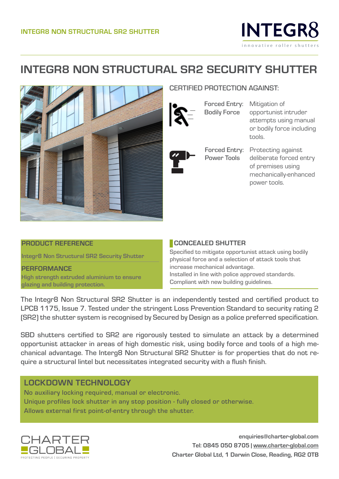

## **INTEGR8 NON STRUCTURAL SR2 SECURITY SHUTTER**



#### CERTIFIED PROTECTION AGAINST:

Forced Entry: Mitigation of Bodily Force

Power Tools

opportunist intruder attempts using manual or bodily force including tools.

Forced Entry: Protecting against deliberate forced entry of premises using mechanically-enhanced power tools.

#### **PRODUCT REFERENCE**

**Integr8 Non Structural SR2 Security Shutter**

**PERFORMANCE High strength extruded aluminium to ensure glazing and building protection.**

#### **CONCEALED SHUTTER**

Specified to mitigate opportunist attack using bodily physical force and a selection of attack tools that increase mechanical advantage. Installed in line with police approved standards. Compliant with new building guidelines.

The Integr8 Non Structural SR2 Shutter is an independently tested and certified product to LPCB 1175, Issue 7. Tested under the stringent Loss Prevention Standard to security rating 2 (SR2) the shutter system is recognised by Secured by Design as a police preferred specification.

SBD shutters certified to SR2 are rigorously tested to simulate an attack by a determined opportunist attacker in areas of high domestic risk, using bodily force and tools of a high mechanical advantage. The Interg8 Non Structural SR2 Shutter is for properties that do not require a structural lintel but necessitates integrated security with a flush finish.

### LOCKDOWN TECHNOLOGY

No auxiliary locking required, manual or electronic. Unique profiles lock shutter in any stop position - fully closed or otherwise. Allows external first point-of-entry through the shutter.



**enquiries@charter-global.com Tel: 0845 050 8705 | www.charter-global.com Charter Global Ltd, 1 Darwin Close, Reading, RG2 0TB**